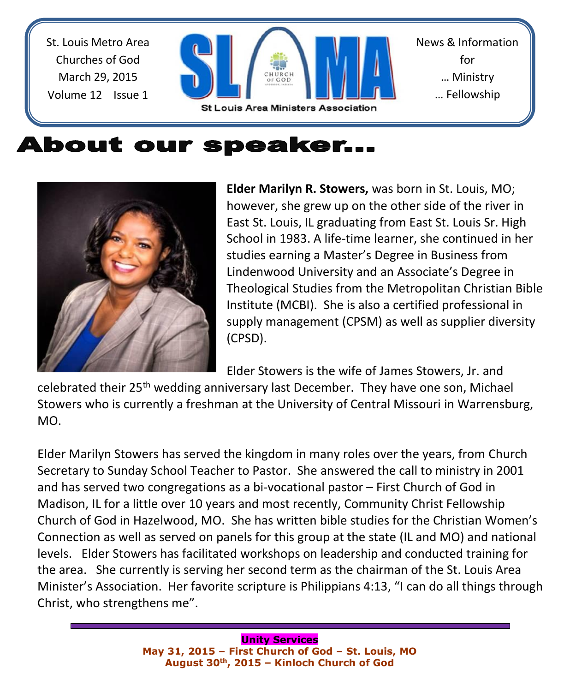St. Louis Metro Area Churches of God March 29, 2015 Volume 12 Issue 1



## **About our speaker...**



**Elder Marilyn R. Stowers,** was born in St. Louis, MO; however, she grew up on the other side of the river in East St. Louis, IL graduating from East St. Louis Sr. High School in 1983. A life-time learner, she continued in her studies earning a Master's Degree in Business from Lindenwood University and an Associate's Degree in Theological Studies from the Metropolitan Christian Bible Institute (MCBI). She is also a certified professional in supply management (CPSM) as well as supplier diversity (CPSD).

Elder Stowers is the wife of James Stowers, Jr. and

celebrated their 25<sup>th</sup> wedding anniversary last December. They have one son, Michael Stowers who is currently a freshman at the University of Central Missouri in Warrensburg, MO.

Elder Marilyn Stowers has served the kingdom in many roles over the years, from Church Secretary to Sunday School Teacher to Pastor. She answered the call to ministry in 2001 and has served two congregations as a bi-vocational pastor – First Church of God in Madison, IL for a little over 10 years and most recently, Community Christ Fellowship Church of God in Hazelwood, MO. She has written bible studies for the Christian Women's Connection as well as served on panels for this group at the state (IL and MO) and national levels. Elder Stowers has facilitated workshops on leadership and conducted training for the area. She currently is serving her second term as the chairman of the St. Louis Area Minister's Association. Her favorite scripture is Philippians 4:13, "I can do all things through Christ, who strengthens me".

> **Unity Services May 31, 2015 – First Church of God – St. Louis, MO August 30th, 2015 – Kinloch Church of God**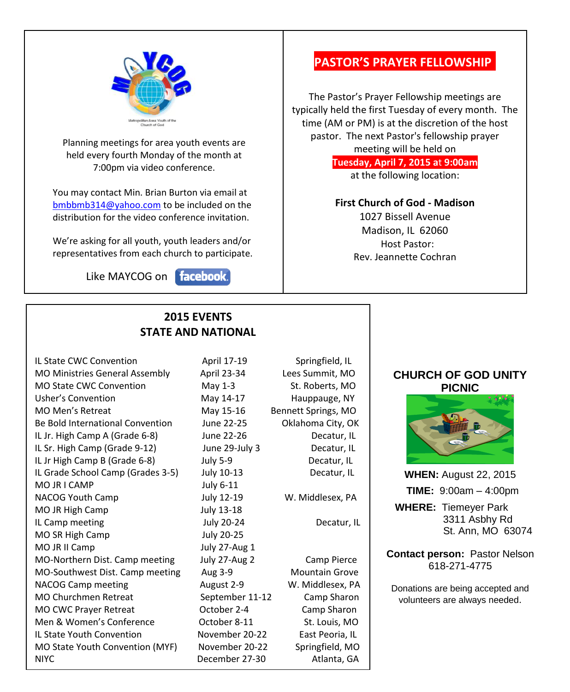

 $\overline{\phantom{a}}$  $\overline{\phantom{a}}$  $\overline{\phantom{a}}$ 

> Planning meetings for area youth events are held every fourth Monday of the month at 7:00pm via video conference.

You may contact Min. Brian Burton via email at [bmbbmb314@yahoo.com](mailto:bmbbmb314@yahoo.com) to be included on the distribution for the video conference invitation.

We're asking for all youth, youth leaders and/or representatives from each church to participate.

Like MAYCOG on **facebook** 

### **PASTOR'S PRAYER FELLOWSHIP.**

The Pastor's Prayer Fellowship meetings are typically held the first Tuesday of every month. The time (AM or PM) is at the discretion of the host pastor. The next Pastor's fellowship prayer meeting will be held on

**Tuesday, April 7, 2015 a**t **9:00am** at the following location:

**First Church of God - Madison** 1027 Bissell Avenue Madison, IL 62060 Host Pastor: Rev. Jeannette Cochran

### **2015 EVENTS STATE AND NATIONAL**

IL State CWC Convention **April 17-19** Springfield, IL MO Ministries General Assembly April 23-34 Lees Summit, MO MO State CWC Convention May 1-3 St. Roberts, MO Usher's Convention May 14-17 Hauppauge, NY MO Men's Retreat May 15-16 Bennett Springs, MO Be Bold International Convention June 22-25 Oklahoma City, OK IL Jr. High Camp A (Grade 6-8) June 22-26 Decatur, IL IL Sr. High Camp (Grade 9-12) June 29-July 3 Decatur, IL IL Jr High Camp B (Grade 6-8) July 5-9 Decatur, IL IL Grade School Camp (Grades 3-5) July 10-13 Decatur, IL MO JR I CAMP July 6-11 NACOG Youth Camp July 12-19 W. Middlesex, PA MO JR High Camp July 13-18 IL Camp meeting July 20-24 Decatur, IL MO SR High Camp July 20-25 MO JR II Camp July 27-Aug 1 MO-Northern Dist. Camp meeting July 27-Aug 2 Camp Pierce MO-Southwest Dist. Camp meeting Aug 3-9 Mountain Grove NACOG Camp meeting and August 2-9 W. Middlesex, PA MO Churchmen Retreat September 11-12 Camp Sharon MO CWC Prayer Retreat **Camp Sharon** October 2-4 Camp Sharon Men & Women's Conference October 8-11 St. Louis, MO IL State Youth Convention November 20-22 East Peoria, IL MO State Youth Convention (MYF) November 20-22 Springfield, MO NIYC December 27-30 Atlanta, GA

I

#### **CHURCH OF GOD UNITY PICNIC**



**WHEN:** August 22, 2015  **TIME:** 9:00am – 4:00pm  **WHERE:** Tiemeyer Park 3311 Asbhy Rd St. Ann, MO 63074

**Contact person:** Pastor Nelson 618-271-4775

Donations are being accepted and volunteers are always needed.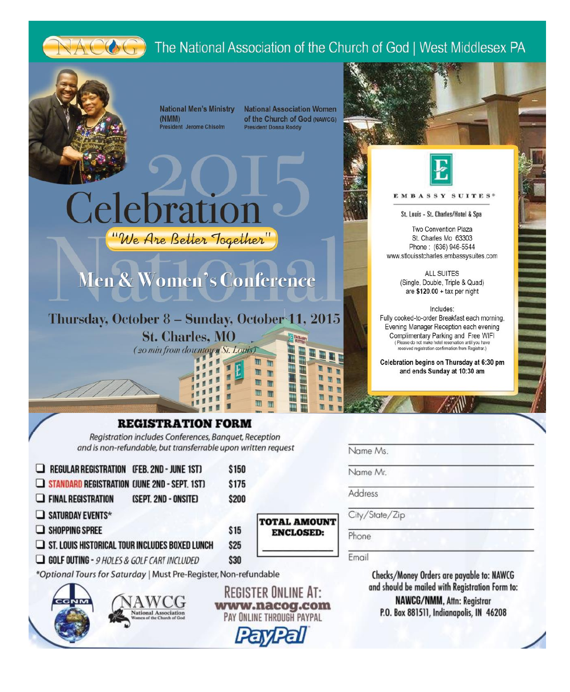

## $\forall A \bigodot \bigodot$  The National Association of the Church of God | West Middlesex PA



**National Men's Ministry** (NMM) President Jerome Chisolm

**National Association Women** of the Church of God (NAWCG) **President Donna Roddy** 







EMBASSY SUITES<sup>®</sup>

St. Louis - St. Charles/Hotel & Spa

Two Convention Plaza St. Charles Mo 63303 Phone: (636) 946-5544 www.stlouisstcharles.embassysuites.com

> **ALL SUITES** (Single, Double, Triple & Quad) are  $$120.00 + tax$  per night

Includes: Fully cooked-to-order Breakfast each morning, Evening Manager Reception each evening Complimentary Parking and Free WIFI Please do not make hotel reservation until you have<br>received registration confirmation from Registrar.)

Celebration begins on Thursday at 6:30 pm and ends Sunday at 10:30 am

# Celebration "We Are Better Together"

## Men & Women's Conference

Thursday, October 8 - Sunday, October 11, 2015 **St. Charles, MO** (20 min from downtown St. Louis)

#### **REGISTRATION FORM**

Registration includes Conferences, Banquet, Reception and is non-refundable, but transferrable upon written request

| REGULAR REGISTRATION                         | (FEB. 2ND - JUNE 1ST) | <b>S150</b> |
|----------------------------------------------|-----------------------|-------------|
| STANDARD REGISTRATION CIUNE 2ND - SEPT. 1ST) |                       | \$175       |
| FINAL REGISTRATION                           | (SEPT. 2ND - ONSITE)  | <b>S200</b> |

FINAL REGISTRATION (SEPT. 2ND - ONSITE)

SATURDAY EVENTS\*

 $\square$  SHOPPING SPREE

 $\Box$  St. LOUIS HISTORICAL TOUR INCLUDES BOXED LUNCH

GOLF OUTING - 9 HOLES & GOLF CART INCLUDED

\*Optional Tours for Saturday | Must Pre-Register, Non-refundable



**REGISTER ONLINE AT:** www.nacog.com PAY ONLINE THROUGH PAYPAL

 $$15$ 

**\$25** 

\$30

**TOTAL AMOUNT** 

**ENCLOSED:** 

钳

m m m m m m m

Name Ms

Name Mr

**Address** 

City/State/Zip

Phone

Email

Checks/Money Orders are payable to: NAWCG and should be mailed with Registration Form to: NAWCG/NMM, Attn: Registrar P.O. Box 881511, Indianapolis, IN 46208